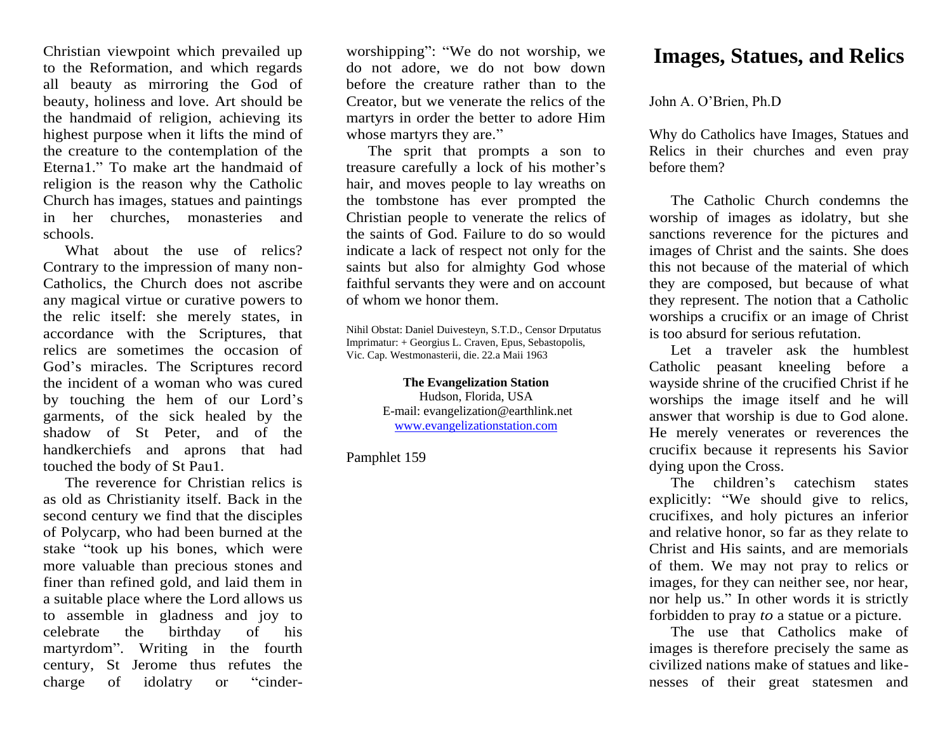Christian viewpoint which prevailed up to the Reformation, and which regards all beauty as mirroring the God of beauty, holiness and love. Art should be the handmaid of religion, achieving its highest purpose when it lifts the mind of the creature to the contemplation of the Eterna1." To make art the handmaid of religion is the reason why the Catholic Church has images, statues and paintings in her churches, monasteries and schools.

What about the use of relics? Contrary to the impression of many non-Catholics, the Church does not ascribe any magical virtue or curative powers to the relic itself: she merely states, in accordance with the Scriptures, that relics are sometimes the occasion of God's miracles. The Scriptures record the incident of a woman who was cured by touching the hem of our Lord's garments, of the sick healed by the shadow of St Peter, and of the handkerchiefs and aprons that had touched the body of St Pau1.

The reverence for Christian relics is as old as Christianity itself. Back in the second century we find that the disciples of Polycarp, who had been burned at the stake "took up his bones, which were more valuable than precious stones and finer than refined gold, and laid them in a suitable place where the Lord allows us to assemble in gladness and joy to celebrate the birthday of his martyrdom". Writing in the fourth century, St Jerome thus refutes the charge of idolatry or "cinderworshipping": "We do not worship, we do not adore, we do not bow down before the creature rather than to the Creator, but we venerate the relics of the martyrs in order the better to adore Him whose martyrs they are."

The sprit that prompts a son to treasure carefully a lock of his mother's hair, and moves people to lay wreaths on the tombstone has ever prompted the Christian people to venerate the relics of the saints of God. Failure to do so would indicate a lack of respect not only for the saints but also for almighty God whose faithful servants they were and on account of whom we honor them.

Nihil Obstat: Daniel Duivesteyn, S.T.D., Censor Drputatus Imprimatur: + Georgius L. Craven, Epus, Sebastopolis, Vic. Cap. Westmonasterii, die. 22.a Maii 1963

> **The Evangelization Station** Hudson, Florida, USA E-mail: evangelization@earthlink.net [www.evangelizationstation.com](http://www.pjpiisoe.org/)

Pamphlet 159

## **Images, Statues, and Relics**

John A. O'Brien, Ph.D

Why do Catholics have Images, Statues and Relics in their churches and even pray before them?

The Catholic Church condemns the worship of images as idolatry, but she sanctions reverence for the pictures and images of Christ and the saints. She does this not because of the material of which they are composed, but because of what they represent. The notion that a Catholic worships a crucifix or an image of Christ is too absurd for serious refutation.

Let a traveler ask the humblest Catholic peasant kneeling before a wayside shrine of the crucified Christ if he worships the image itself and he will answer that worship is due to God alone. He merely venerates or reverences the crucifix because it represents his Savior dying upon the Cross.

The children's catechism states explicitly: "We should give to relics, crucifixes, and holy pictures an inferior and relative honor, so far as they relate to Christ and His saints, and are memorials of them. We may not pray to relics or images, for they can neither see, nor hear, nor help us." In other words it is strictly forbidden to pray *to* a statue or a picture.

The use that Catholics make of images is therefore precisely the same as civilized nations make of statues and likenesses of their great statesmen and